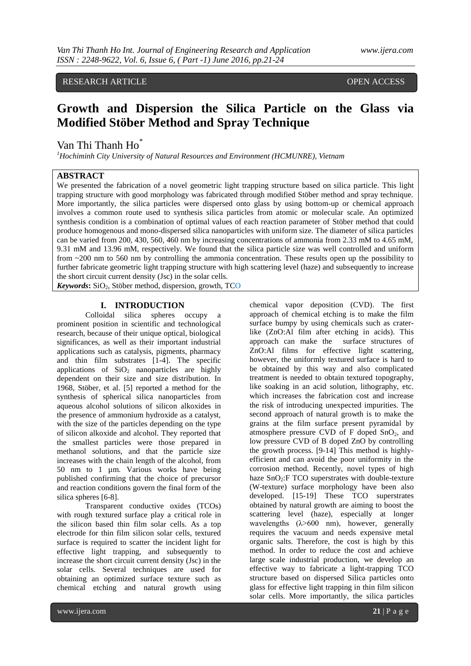## RESEARCH ARTICLE **CONSERVERS** OPEN ACCESS

# **Growth and Dispersion the Silica Particle on the Glass via Modified Stöber Method and Spray Technique**

Van Thi Thanh Ho<sup>\*</sup>

*<sup>1</sup>Hochiminh City University of Natural Resources and Environment (HCMUNRE), Vietnam*

#### **ABSTRACT**

We presented the fabrication of a novel geometric light trapping structure based on silica particle. This light trapping structure with good morphology was fabricated through modified Stöber method and spray technique. More importantly, the silica particles were dispersed onto glass by using bottom-up or chemical approach involves a common route used to synthesis silica particles from atomic or molecular scale. An optimized synthesis condition is a combination of optimal values of each reaction parameter of Stöber method that could produce homogenous and mono-dispersed silica nanoparticles with uniform size. The diameter of silica particles can be varied from 200, 430, 560, 460 nm by increasing concentrations of ammonia from 2.33 mM to 4.65 mM, 9.31 mM and 13.96 mM, respectively. We found that the silica particle size was well controlled and uniform from ~200 nm to 560 nm by controlling the ammonia concentration. These results open up the possibility to further fabricate geometric light trapping structure with high scattering level (haze) and subsequently to increase the short circuit current density (Jsc) in the solar cells.

 $Keywords: SiO<sub>2</sub>, Stöber method, dispersion, growth, TCO$ 

### **I. INTRODUCTION**

Colloidal silica spheres occupy a prominent position in scientific and technological research, because of their unique optical, biological significances, as well as their important industrial applications such as catalysis, pigments, pharmacy and thin film substrates [1-4]. The specific applications of  $SiO<sub>2</sub>$  nanoparticles are highly dependent on their size and size distribution. In 1968, Stöber, et al. [5] reported a method for the synthesis of spherical silica nanoparticles from aqueous alcohol solutions of silicon alkoxides in the presence of ammonium hydroxide as a catalyst, with the size of the particles depending on the type of silicon alkoxide and alcohol. They reported that the smallest particles were those prepared in methanol solutions, and that the particle size increases with the chain length of the alcohol, from 50 nm to 1 µm. Various works have being published confirming that the choice of precursor and reaction conditions govern the final form of the silica spheres [6-8].

Transparent conductive oxides (TCOs) with rough textured surface play a critical role in the silicon based thin film solar cells. As a top electrode for thin film silicon solar cells, textured surface is required to scatter the incident light for effective light trapping, and subsequently to increase the short circuit current density (Jsc) in the solar cells. Several techniques are used for obtaining an optimized surface texture such as chemical etching and natural growth using

chemical vapor deposition (CVD). The first approach of chemical etching is to make the film surface bumpy by using chemicals such as craterlike (ZnO:Al film after etching in acids). This approach can make the surface structures of ZnO:Al films for effective light scattering, however, the uniformly textured surface is hard to be obtained by this way and also complicated treatment is needed to obtain textured topography, like soaking in an acid solution, lithography, etc. which increases the fabrication cost and increase the risk of introducing unexpected impurities. The second approach of natural growth is to make the grains at the film surface present pyramidal by atmosphere pressure CVD of  $F$  doped  $SnO<sub>2</sub>$ , and low pressure CVD of B doped ZnO by controlling the growth process. [9-14] This method is highlyefficient and can avoid the poor uniformity in the corrosion method. Recently, novel types of high haze  $SnO<sub>2</sub>:$  F TCO superstrates with double-texture (W-texture) surface morphology have been also developed. [15-19] These TCO superstrates obtained by natural growth are aiming to boost the scattering level (haze), especially at longer wavelengths  $(\lambda > 600 \text{ nm})$ , however, generally requires the vacuum and needs expensive metal organic salts. Therefore, the cost is high by this method. In order to reduce the cost and achieve large scale industrial production, we develop an effective way to fabricate a light-trapping TCO structure based on dispersed Silica particles onto glass for effective light trapping in thin film silicon solar cells. More importantly, the silica particles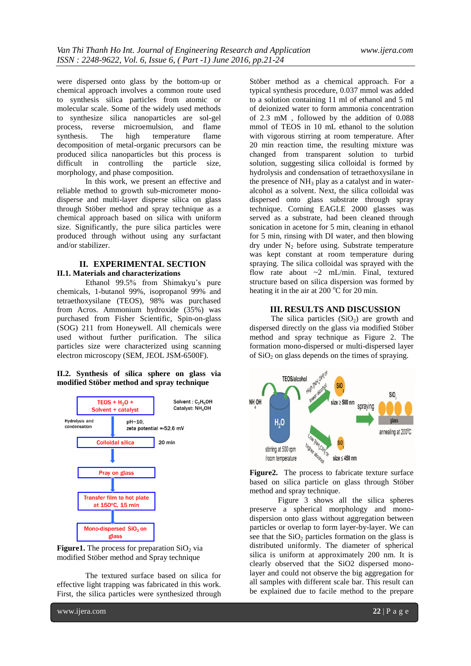were dispersed onto glass by the bottom-up or chemical approach involves a common route used to synthesis silica particles from atomic or molecular scale. Some of the widely used methods to synthesize silica nanoparticles are sol-gel process, reverse microemulsion, and flame synthesis. The high temperature flame decomposition of metal-organic precursors can be produced silica nanoparticles but this process is difficult in controlling the particle size, morphology, and phase composition.

In this work, we present an effective and reliable method to growth sub-micrometer monodisperse and multi-layer disperse silica on glass through Stöber method and spray technique as a chemical approach based on silica with uniform size. Significantly, the pure silica particles were produced through without using any surfactant and/or stabilizer.

#### **II. EXPERIMENTAL SECTION II.1. Materials and characterizations**

Ethanol 99.5% from Shimakyu's pure chemicals, 1-butanol 99%, isopropanol 99% and tetraethoxysilane (TEOS), 98% was purchased from Acros. Ammonium hydroxide (35%) was purchased from Fisher Scientific, Spin-on-glass (SOG) 211 from Honeywell. All chemicals were used without further purification. The silica particles size were characterized using scanning electron microscopy (SEM, JEOL JSM-6500F).

#### **II.2. Synthesis of silica sphere on glass via modified Stöber method and spray technique**





The textured surface based on silica for effective light trapping was fabricated in this work. First, the silica particles were synthesized through Stöber method as a chemical approach. For a typical synthesis procedure, 0.037 mmol was added to a solution containing 11 ml of ethanol and 5 ml of deionized water to form ammonia concentration of 2.3 mM , followed by the addition of 0.088 mmol of TEOS in 10 mL ethanol to the solution with vigorous stirring at room temperature. After 20 min reaction time, the resulting mixture was changed from transparent solution to turbid solution, suggesting silica colloidal is formed by hydrolysis and condensation of tetraethoxysilane in the presence of  $NH_3$  play as a catalyst and in wateralcohol as a solvent. Next, the silica colloidal was dispersed onto glass substrate through spray technique. Corning EAGLE 2000 glasses was served as a substrate, had been cleaned through sonication in acetone for 5 min, cleaning in ethanol for 5 min, rinsing with DI water, and then blowing dry under  $N_2$  before using. Substrate temperature was kept constant at room temperature during spraying. The silica colloidal was sprayed with the flow rate about ~2 mL/min. Final, textured structure based on silica dispersion was formed by heating it in the air at 200  $\mathrm{^{\circ}C}$  for 20 min.

#### **III. RESULTS AND DISCUSSION**

The silica particles  $(SiO<sub>2</sub>)$  are growth and dispersed directly on the glass via modified Stöber method and spray technique as Figure 2. The formation mono-dispersed or multi-dispersed layer of  $SiO<sub>2</sub>$  on glass depends on the times of spraying.





Figure 3 shows all the silica spheres preserve a spherical morphology and monodispersion onto glass without aggregation between particles or overlap to form layer-by-layer. We can see that the  $SiO<sub>2</sub>$  particles formation on the glass is distributed uniformly. The diameter of spherical silica is uniform at approximately 200 nm. It is clearly observed that the SiO2 dispersed monolayer and could not observe the big aggregation for all samples with different scale bar. This result can be explained due to facile method to the prepare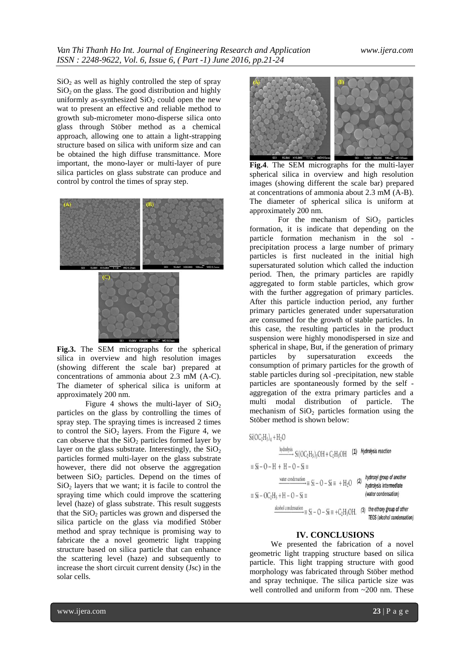$SiO<sub>2</sub>$  as well as highly controlled the step of spray  $SiO<sub>2</sub>$  on the glass. The good distribution and highly uniformly as-synthesized  $SiO<sub>2</sub>$  could open the new wat to present an effective and reliable method to growth sub-micrometer mono-disperse silica onto glass through Stöber method as a chemical approach, allowing one to attain a light-strapping structure based on silica with uniform size and can be obtained the high diffuse transmittance. More important, the mono-layer or multi-layer of pure silica particles on glass substrate can produce and control by control the times of spray step.





**Fig.3.** The SEM micrographs for the spherical silica in overview and high resolution images (showing different the scale bar) prepared at concentrations of ammonia about 2.3 mM (A-C). The diameter of spherical silica is uniform at approximately 200 nm.

Figure 4 shows the multi-layer of  $SiO<sub>2</sub>$ particles on the glass by controlling the times of spray step. The spraying times is increased 2 times to control the  $SiO<sub>2</sub>$  layers. From the Figure 4, we can observe that the  $SiO<sub>2</sub>$  particles formed layer by layer on the glass substrate. Interestingly, the  $SiO<sub>2</sub>$ particles formed multi-layer on the glass substrate however, there did not observe the aggregation between  $SiO<sub>2</sub>$  particles. Depend on the times of  $SiO<sub>2</sub>$  layers that we want; it is facile to control the spraying time which could improve the scattering level (haze) of glass substrate. This result suggests that the  $SiO<sub>2</sub>$  particles was grown and dispersed the silica particle on the glass via modified Stöber method and spray technique is promising way to fabricate the a novel geometric light trapping structure based on silica particle that can enhance the scattering level (haze) and subsequently to increase the short circuit current density (Jsc) in the solar cells.



**Fig.4**. The SEM micrographs for the multi-layer spherical silica in overview and high resolution images (showing different the scale bar) prepared at concentrations of ammonia about 2.3 mM (A-B). The diameter of spherical silica is uniform at approximately 200 nm.

For the mechanism of  $SiO<sub>2</sub>$  particles formation, it is indicate that depending on the particle formation mechanism in the sol precipitation process a large number of primary particles is first nucleated in the initial high supersaturated solution which called the induction period. Then, the primary particles are rapidly aggregated to form stable particles, which grow with the further aggregation of primary particles. After this particle induction period, any further primary particles generated under supersaturation are consumed for the growth of stable particles. In this case, the resulting particles in the product suspension were highly monodispersed in size and spherical in shape, But, if the generation of primary particles by supersaturation exceeds the consumption of primary particles for the growth of stable particles during sol -precipitation, new stable particles are spontaneously formed by the self aggregation of the extra primary particles and a multi modal distribution of particle. The mechanism of  $SiO<sub>2</sub>$  particles formation using the Stöber method is shown below:

 $Si(OC_2H_5)_4 + H_2O$ 

 $\overset{hydrolysis}{\longrightarrow} \frac{Si(OC_2H_5)_3OH + C_2H_5OH}{ } \quad \textbf{(1)} \quad \textit{Hydrolysis reaction}$ 

 $\equiv$  Si – O – H + H – O – Si  $\equiv$ 

 $\equiv$  Si – OC<sub>2</sub>H<sub>5</sub> + H – O – Si  $\equiv$ 

$$
\frac{\text{water condensation}}{\text{by}} \equiv \text{Si} - \text{O} - \text{Si} \equiv +\text{H}_2\text{O} \quad (2) \quad \frac{\text{hy}}{\text{hy}}
$$

akohol condensation  $\Rightarrow$   $Si - O - Si \equiv +C_2H_5OH$ . (3) the ethoxy group of other TEOS (alcohol condensation)

#### **IV. CONCLUSIONS**

We presented the fabrication of a novel geometric light trapping structure based on silica particle. This light trapping structure with good morphology was fabricated through Stöber method and spray technique. The silica particle size was well controlled and uniform from ~200 nm. These